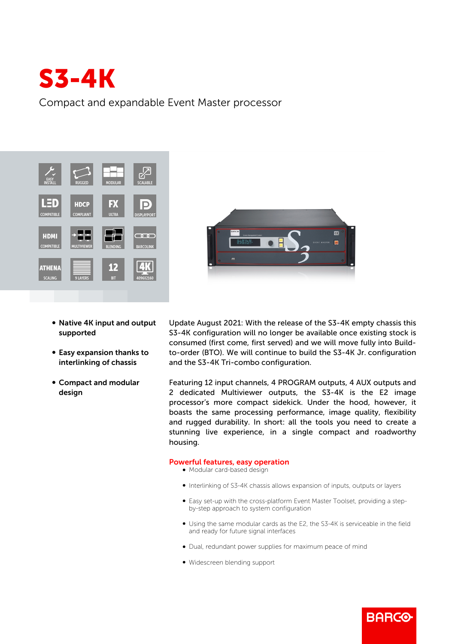

Compact and expandable Event Master processor



- Native 4K input and output supported
- Easy expansion thanks to interlinking of chassis
- Compact and modular design

Update August 2021: With the release of the S3-4K empty chassis this S3-4K configuration will no longer be available once existing stock is consumed (first come, first served) and we will move fully into Buildto-order (BTO). We will continue to build the S3-4K Jr. configuration and the S3-4K Tri-combo configuration.

**ATM** 

 $\blacksquare$ 

Featuring 12 input channels, 4 PROGRAM outputs, 4 AUX outputs and 2 dedicated Multiviewer outputs, the S3-4K is the E2 image processor's more compact sidekick. Under the hood, however, it boasts the same processing performance, image quality, flexibility and rugged durability. In short: all the tools you need to create a stunning live experience, in a single compact and roadworthy housing.

## Powerful features, easy operation

- $\bullet$  Modular card-based design
- b Interlinking of S3-4K chassis allows expansion of inputs, outputs or layers
- Easy set-up with the cross-platform Event Master Toolset, providing a stepby-step approach to system configuration
- Using the same modular cards as the E2, the S3-4K is serviceable in the field and ready for future signal interfaces

**BARGO** 

- Dual, redundant power supplies for maximum peace of mind
- Widescreen blending support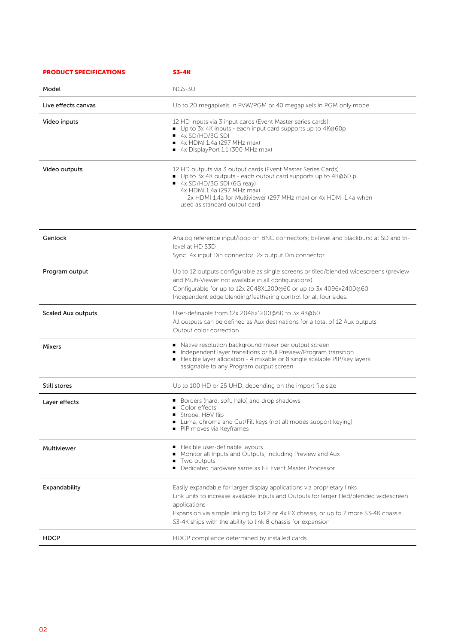| <b>PRODUCT SPECIFICATIONS</b> | <b>S3-4K</b>                                                                                                                                                                                                                                                                                                                               |
|-------------------------------|--------------------------------------------------------------------------------------------------------------------------------------------------------------------------------------------------------------------------------------------------------------------------------------------------------------------------------------------|
| Model                         | NGS-3U                                                                                                                                                                                                                                                                                                                                     |
| Live effects canvas           | Up to 20 megapixels in PVW/PGM or 40 megapixels in PGM only mode                                                                                                                                                                                                                                                                           |
| Video inputs                  | 12 HD inputs via 3 input cards (Event Master series cards)<br>■ Up to 3x 4K inputs - each input card supports up to 4K@60p<br>4x SD/HD/3G SDI<br>$\bullet$ 4x HDMI 1.4a (297 MHz max)<br>4x DisplayPort 1.1 (300 MHz max)                                                                                                                  |
| Video outputs                 | 12 HD outputs via 3 output cards (Event Master Series Cards)<br>■ Up to 3x 4K outputs - each output card supports up to 4K@60 p<br>■ 4x SD/HD/3G SDI (6G reay)<br>4x HDMI 1.4a (297 MHz max)<br>2x HDMI 1.4a for Multiviewer (297 MHz max) or 4x HDMI 1.4a when<br>used as standard output card                                            |
| Genlock                       | Analog reference input/loop on BNC connectors; bi-level and blackburst at SD and tri-<br>level at HD S3D<br>Sync: 4x input Din connector, 2x output Din connector                                                                                                                                                                          |
| Program output                | Up to 12 outputs configurable as single screens or tiled/blended widescreens (preview<br>and Multi-Viewer not available in all configurations).<br>Configurable for up to 12x 2048X1200@60 or up to 3x 4096x2400@60<br>Independent edge blending/feathering control for all four sides.                                                    |
| <b>Scaled Aux outputs</b>     | User-definable from 12x 2048x1200@60 to 3x 4K@60<br>All outputs can be defined as Aux destinations for a total of 12 Aux outputs<br>Output color correction                                                                                                                                                                                |
| Mixers                        | Native resolution background mixer per output screen<br>Independent layer transitions or full Preview/Program transition<br>Flexible layer allocation - 4 mixable or 8 single scalable PIP/key layers<br>assignable to any Program output screen                                                                                           |
| Still stores                  | Up to 100 HD or 25 UHD, depending on the import file size                                                                                                                                                                                                                                                                                  |
| Layer effects                 | Borders (hard, soft, halo) and drop shadows<br>Color effects<br>Strobe, H&V flip<br>Luma, chroma and Cut/Fill keys (not all modes support keying)<br>PIP moves via Keyframes                                                                                                                                                               |
| Multiviewer                   | Flexible user-definable layouts<br>Monitor all Inputs and Outputs, including Preview and Aux<br>Two outputs<br>Dedicated hardware same as E2 Event Master Processor                                                                                                                                                                        |
| Expandability                 | Easily expandable for larger display applications via proprietary links<br>Link units to increase available Inputs and Outputs for larger tiled/blended widescreen<br>applications<br>Expansion via simple linking to 1xE2 or 4x EX chassis, or up to 7 more S3-4K chassis<br>S3-4K ships with the ability to link 8 chassis for expansion |
| <b>HDCP</b>                   | HDCP compliance determined by installed cards.                                                                                                                                                                                                                                                                                             |